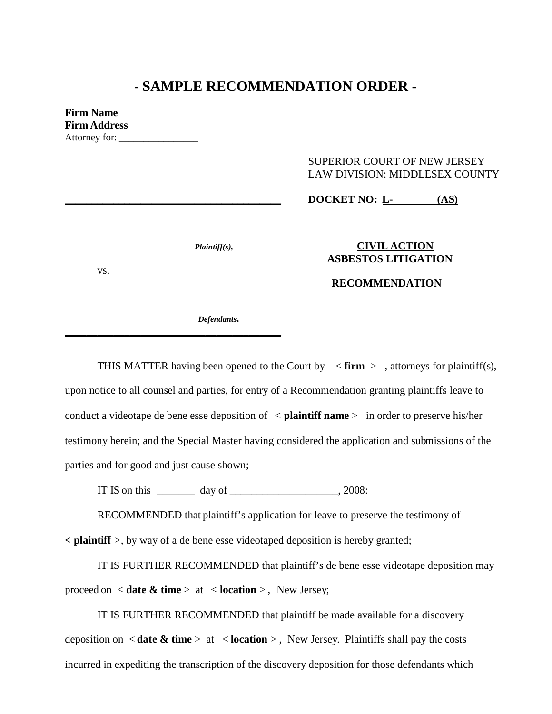# **- SAMPLE RECOMMENDATION ORDER -**

**Firm Name Firm Address** Attorney for: \_\_\_\_\_\_\_\_\_\_\_\_\_\_\_\_

# SUPERIOR COURT OF NEW JERSEY LAW DIVISION: MIDDLESEX COUNTY

## **\_\_\_\_\_\_\_\_\_\_\_\_\_\_\_\_\_\_\_\_\_\_\_\_\_\_\_\_\_\_\_\_\_\_\_\_\_\_\_\_ DOCKET NO: L- (AS)**

vs.

### *Plaintiff(s),* **CIVIL ACTION ASBESTOS LITIGATION**

### **RECOMMENDATION**

*Defendants.*

**\_\_\_\_\_\_\_\_\_\_\_\_\_\_\_\_\_\_\_\_\_\_\_\_\_\_\_\_\_\_\_\_\_\_\_\_\_\_\_\_**

THIS MATTER having been opened to the Court by  $\leq$  firm  $>$ , attorneys for plaintiff(s), upon notice to all counsel and parties, for entry of a Recommendation granting plaintiffs leave to conduct a videotape de bene esse deposition of < **plaintiff name** > in order to preserve his/her testimony herein; and the Special Master having considered the application and submissions of the parties and for good and just cause shown;

IT IS on this  $\frac{1}{2}$  day of  $\frac{1}{2}$ , 2008:

RECOMMENDED that plaintiff's application for leave to preserve the testimony of

**< plaintiff** *>,* by way of a de bene esse videotaped deposition is hereby granted;

IT IS FURTHER RECOMMENDED that plaintiff's de bene esse videotape deposition may proceed on < **date & time** > at < **location** > , New Jersey;

IT IS FURTHER RECOMMENDED that plaintiff be made available for a discovery deposition on < **date & time** > at < **location** > , New Jersey. Plaintiffs shall pay the costs incurred in expediting the transcription of the discovery deposition for those defendants which